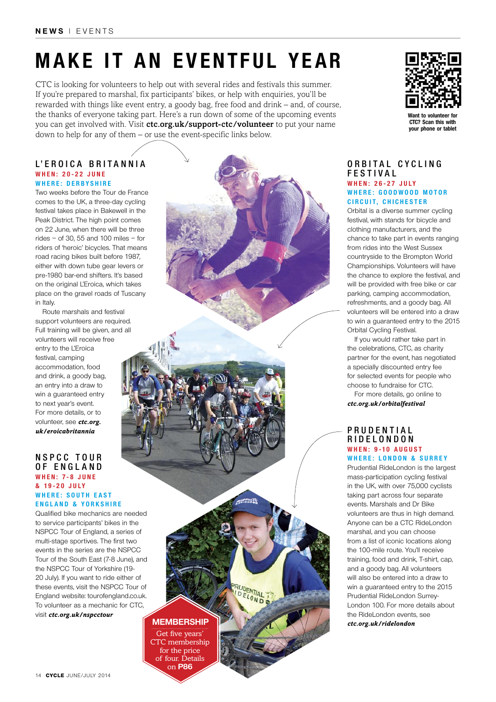# **Make it an eventful year**

CTC is looking for volunteers to help out with several rides and festivals this summer. If you're prepared to marshal, fix participants' bikes, or help with enquiries, you'll be rewarded with things like event entry, a goody bag, free food and drink – and, of course, the thanks of everyone taking part. Here's a run down of some of the upcoming events you can get involved with. Visit ctc.org.uk/support-ctc/volunteer to put your name down to help for any of them – or use the event-specific links below.

### **L'Eroica Britannia When: 20-22 June Where: Derbyshire**

Two weeks before the Tour de France comes to the UK, a three-day cycling festival takes place in Bakewell in the Peak District. The high point comes on 22 June, when there will be three rides – of 30, 55 and 100 miles – for riders of 'heroic' bicycles. That means road racing bikes built before 1987, either with down tube gear levers or pre-1980 bar-end shifters. It's based on the original L'Eroica, which takes place on the gravel roads of Tuscany in Italy.

Route marshals and festival support volunteers are required. Full training will be given, and all volunteers will receive free entry to the L'Eroica festival, camping accommodation, food and drink, a goody bag, an entry into a draw to win a guaranteed entry to next year's event. For more details, or to volunteer, see *ctc.org. uk/eroicabritannia*

#### **N S P CC T o u r of Eng l and W h e n : 7- 8 J u n e & 19-20 J U ly Where: S outh east E nglan d & Y orkshire**

Qualified bike mechanics are needed to service participants' bikes in the NSPCC Tour of England, a series of multi-stage sportives. The first two events in the series are the NSPCC Tour of the South East (7-8 June), and the NSPCC Tour of Yorkshire (19- 20 July). If you want to ride either of these events, visit the NSPCC Tour of England website: tourofengland.co.uk. To volunteer as a mechanic for CTC, visit *ctc.org.uk/nspcctour*

**membership**

**OPATIAL T** 

**RUDENTIAL** 

Get five years' CTC membership for the price of four. Details on **p86**



**Want to volunteer for CTC? Scan this with your phone or tablet**

#### **O r b i t a l C y c l i n g Fes tiva l When: 26-27 July WHERE: GOODWOOD MOTOR Cir c uit, Chi c hester**

Orbital is a diverse summer cycling festival, with stands for bicycle and clothing manufacturers, and the chance to take part in events ranging from rides into the West Sussex countryside to the Brompton World Championships. Volunteers will have the chance to explore the festival, and will be provided with free bike or car parking, camping accommodation, refreshments, and a goody bag. All volunteers will be entered into a draw to win a guaranteed entry to the 2015 Orbital Cycling Festival.

If you would rather take part in the celebrations, CTC, as charity partner for the event, has negotiated a specially discounted entry fee for selected events for people who choose to fundraise for CTC.

For more details, go online to *ctc.org.uk/orbitalfestival*

### **P r u d e n t i a l R i d e L o n d o n When: 9-10 A ugust Where: L o n d on & S urrey**

Prudential RideLondon is the largest mass-participation cycling festival in the UK, with over 75,000 cyclists taking part across four separate events. Marshals and Dr Bike volunteers are thus in high demand. Anyone can be a CTC RideLondon marshal, and you can choose from a list of iconic locations along the 100-mile route. You'll receive training, food and drink, T-shirt, cap, and a goody bag. All volunteers will also be entered into a draw to win a guaranteed entry to the 2015 Prudential RideLondon Surrey-London 100. For more details about the RideLondon events, see *ctc.org.uk/ridelondon*